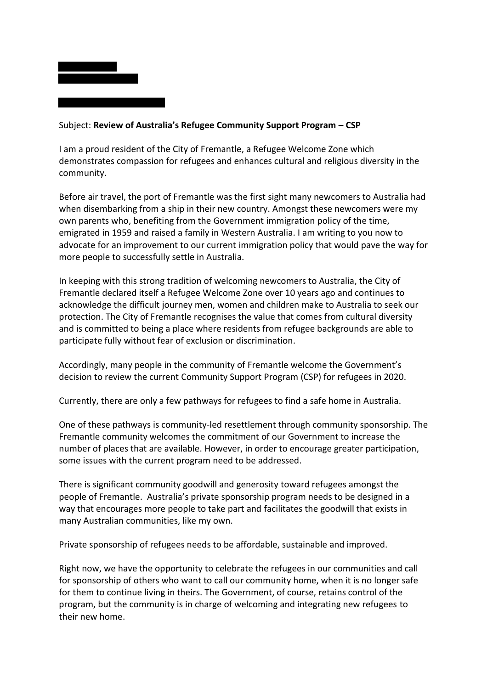

### Subject: **Review of Australia's Refugee Community Support Program – CSP**

I am a proud resident of the City of Fremantle, a Refugee Welcome Zone which demonstrates compassion for refugees and enhances cultural and religious diversity in the community.

Before air travel, the port of Fremantle was the first sight many newcomers to Australia had when disembarking from a ship in their new country. Amongst these newcomers were my own parents who, benefiting from the Government immigration policy of the time, emigrated in 1959 and raised a family in Western Australia. I am writing to you now to advocate for an improvement to our current immigration policy that would pave the way for more people to successfully settle in Australia.

In keeping with this strong tradition of welcoming newcomers to Australia, the City of Fremantle declared itself a Refugee Welcome Zone over 10 years ago and continues to acknowledge the difficult journey men, women and children make to Australia to seek our protection. The City of Fremantle recognises the value that comes from cultural diversity and is committed to being a place where residents from refugee backgrounds are able to participate fully without fear of exclusion or discrimination.

Accordingly, many people in the community of Fremantle welcome the Government's decision to review the current Community Support Program (CSP) for refugees in 2020.

Currently, there are only a few pathways for refugees to find a safe home in Australia.

One of these pathways is community-led resettlement through community sponsorship. The Fremantle community welcomes the commitment of our Government to increase the number of places that are available. However, in order to encourage greater participation, some issues with the current program need to be addressed.

There is significant community goodwill and generosity toward refugees amongst the people of Fremantle. Australia's private sponsorship program needs to be designed in a way that encourages more people to take part and facilitates the goodwill that exists in many Australian communities, like my own.

Private sponsorship of refugees needs to be affordable, sustainable and improved.

Right now, we have the opportunity to celebrate the refugees in our communities and call for sponsorship of others who want to call our community home, when it is no longer safe for them to continue living in theirs. The Government, of course, retains control of the program, but the community is in charge of welcoming and integrating new refugees to their new home.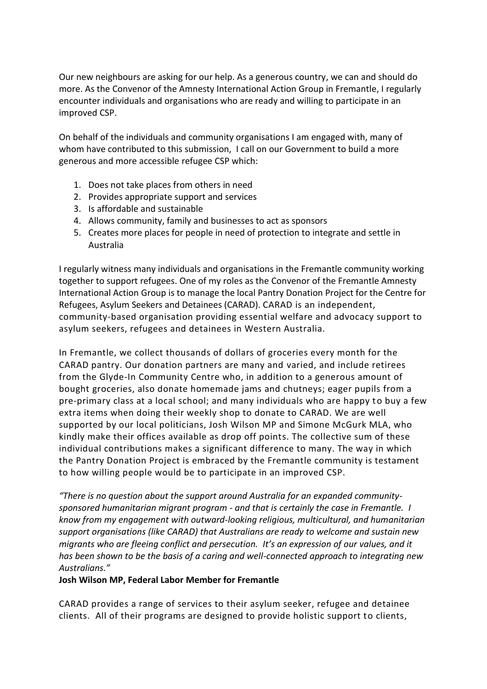Our new neighbours are asking for our help. As a generous country, we can and should do more. As the Convenor of the Amnesty International Action Group in Fremantle, I regularly encounter individuals and organisations who are ready and willing to participate in an improved CSP.

On behalf of the individuals and community organisations I am engaged with, many of whom have contributed to this submission, I call on our Government to build a more generous and more accessible refugee CSP which:

- 1. Does not take places from others in need
- 2. Provides appropriate support and services
- 3. Is affordable and sustainable
- 4. Allows community, family and businesses to act as sponsors
- 5. Creates more places for people in need of protection to integrate and settle in Australia

I regularly witness many individuals and organisations in the Fremantle community working together to support refugees. One of my roles as the Convenor of the Fremantle Amnesty International Action Group is to manage the local Pantry Donation Project for the Centre for Refugees, Asylum Seekers and Detainees (CARAD). CARAD is an independent, community-based organisation providing essential welfare and advocacy support to asylum seekers, refugees and detainees in Western Australia.

In Fremantle, we collect thousands of dollars of groceries every month for the CARAD pantry. Our donation partners are many and varied, and include retirees from the Glyde-In Community Centre who, in addition to a generous amount of bought groceries, also donate homemade jams and chutneys; eager pupils from a pre-primary class at a local school; and many individuals who are happy to buy a few extra items when doing their weekly shop to donate to CARAD. We are well supported by our local politicians, Josh Wilson MP and Simone McGurk MLA, who kindly make their offices available as drop off points. The collective sum of these individual contributions makes a significant difference to many. The way in which the Pantry Donation Project is embraced by the Fremantle community is testament to how willing people would be to participate in an improved CSP.

*"There is no question about the support around Australia for an expanded communitysponsored humanitarian migrant program - and that is certainly the case in Fremantle. I know from my engagement with outward-looking religious, multicultural, and humanitarian support organisations (like CARAD) that Australians are ready to welcome and sustain new migrants who are fleeing conflict and persecution. It's an expression of our values, and it has been shown to be the basis of a caring and well-connected approach to integrating new Australians."*

# **Josh Wilson MP, Federal Labor Member for Fremantle**

CARAD provides a range of services to their asylum seeker, refugee and detainee clients. All of their programs are designed to provide holistic support to clients,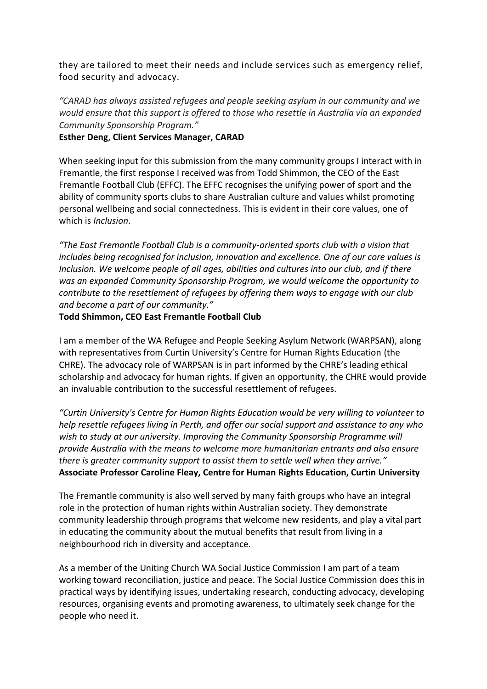they are tailored to meet their needs and include services such as emergency relief, food security and advocacy.

*"CARAD has always assisted refugees and people seeking asylum in our community and we would ensure that this support is offered to those who resettle in Australia via an expanded Community Sponsorship Program."*

**Esther Deng, Client Services Manager, CARAD**

When seeking input for this submission from the many community groups I interact with in Fremantle, the first response I received was from Todd Shimmon, the CEO of the East Fremantle Football Club (EFFC). The EFFC recognises the unifying power of sport and the ability of community sports clubs to share Australian culture and values whilst promoting personal wellbeing and social connectedness. This is evident in their core values, one of which is *Inclusion*.

*"The East Fremantle Football Club is a community-oriented sports club with a vision that includes being recognised for inclusion, innovation and excellence. One of our core values is Inclusion. We welcome people of all ages, abilities and cultures into our club, and if there was an expanded Community Sponsorship Program, we would welcome the opportunity to contribute to the resettlement of refugees by offering them ways to engage with our club and become a part of our community."*

**Todd Shimmon, CEO East Fremantle Football Club**

I am a member of the WA Refugee and People Seeking Asylum Network (WARPSAN), along with representatives from Curtin University's Centre for Human Rights Education (the CHRE). The advocacy role of WARPSAN is in part informed by the CHRE's leading ethical scholarship and advocacy for human rights. If given an opportunity, the CHRE would provide an invaluable contribution to the successful resettlement of refugees.

*"Curtin University's Centre for Human Rights Education would be very willing to volunteer to help resettle refugees living in Perth, and offer our social support and assistance to any who wish to study at our university. Improving the Community Sponsorship Programme will provide Australia with the means to welcome more humanitarian entrants and also ensure there is greater community support to assist them to settle well when they arrive."* **Associate Professor Caroline Fleay, Centre for Human Rights Education, Curtin University**

The Fremantle community is also well served by many faith groups who have an integral role in the protection of human rights within Australian society. They demonstrate community leadership through programs that welcome new residents, and play a vital part in educating the community about the mutual benefits that result from living in a neighbourhood rich in diversity and acceptance.

As a member of the Uniting Church WA Social Justice Commission I am part of a team working toward reconciliation, justice and peace. The Social Justice Commission does this in practical ways by identifying issues, undertaking research, conducting advocacy, developing resources, organising events and promoting awareness, to ultimately seek change for the people who need it.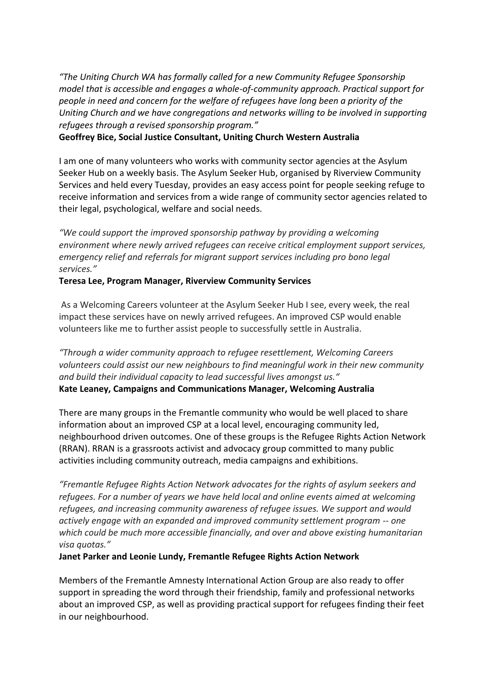*"The Uniting Church WA has formally called for a new Community Refugee Sponsorship model that is accessible and engages a whole-of-community approach. Practical support for people in need and concern for the welfare of refugees have long been a priority of the Uniting Church and we have congregations and networks willing to be involved in supporting refugees through a revised sponsorship program."*

**Geoffrey Bice, Social Justice Consultant, Uniting Church Western Australia**

I am one of many volunteers who works with community sector agencies at the Asylum Seeker Hub on a weekly basis. The Asylum Seeker Hub, organised by Riverview Community Services and held every Tuesday, provides an easy access point for people seeking refuge to receive information and services from a wide range of community sector agencies related to their legal, psychological, welfare and social needs.

*"We could support the improved sponsorship pathway by providing a welcoming environment where newly arrived refugees can receive critical employment support services, emergency relief and referrals for migrant support services including pro bono legal services."*

### **Teresa Lee, Program Manager, Riverview Community Services**

As a Welcoming Careers volunteer at the Asylum Seeker Hub I see, every week, the real impact these services have on newly arrived refugees. An improved CSP would enable volunteers like me to further assist people to successfully settle in Australia.

*"Through a wider community approach to refugee resettlement, Welcoming Careers volunteers could assist our new neighbours to find meaningful work in their new community and build their individual capacity to lead successful lives amongst us."* **Kate Leaney, Campaigns and Communications Manager, Welcoming Australia**

There are many groups in the Fremantle community who would be well placed to share information about an improved CSP at a local level, encouraging community led, neighbourhood driven outcomes. One of these groups is the Refugee Rights Action Network (RRAN). RRAN is a grassroots activist and advocacy group committed to many public activities including community outreach, media campaigns and exhibitions.

*"Fremantle Refugee Rights Action Network advocates for the rights of asylum seekers and refugees. For a number of years we have held local and online events aimed at welcoming refugees, and increasing community awareness of refugee issues. We support and would actively engage with an expanded and improved community settlement program -- one which could be much more accessible financially, and over and above existing humanitarian visa quotas."*

#### **Janet Parker and Leonie Lundy, Fremantle Refugee Rights Action Network**

Members of the Fremantle Amnesty International Action Group are also ready to offer support in spreading the word through their friendship, family and professional networks about an improved CSP, as well as providing practical support for refugees finding their feet in our neighbourhood.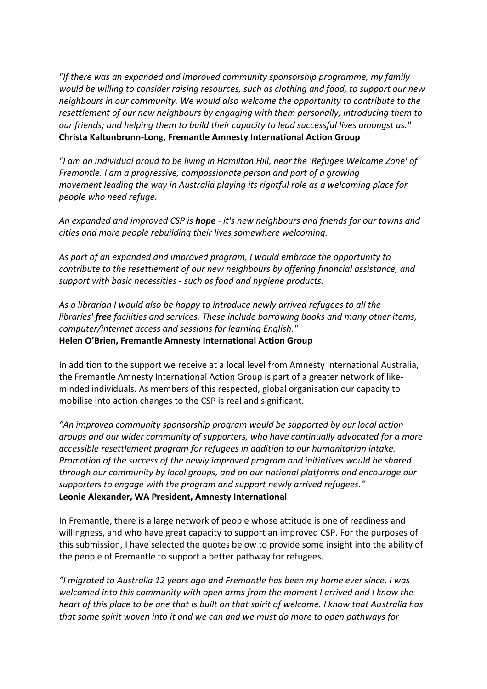*"If there was an expanded and improved community sponsorship programme, my family would be willing to consider raising resources, such as clothing and food, to support our new neighbours in our community. We would also welcome the opportunity to contribute to the resettlement of our new neighbours by engaging with them personally; introducing them to our friends; and helping them to build their capacity to lead successful lives amongst us."* **Christa Kaltunbrunn-Long, Fremantle Amnesty International Action Group**

*"I am an individual proud to be living in Hamilton Hill, near the 'Refugee Welcome Zone' of Fremantle. I am a progressive, compassionate person and part of a growing movement leading the way in Australia playing its rightful role as a welcoming place for people who need refuge.*

*An expanded and improved CSP is hope - it's new neighbours and friends for our towns and cities and more people rebuilding their lives somewhere welcoming.*

*As part of an expanded and improved program, I would embrace the opportunity to contribute to the resettlement of our new neighbours by offering financial assistance, and support with basic necessities - such as food and hygiene products.*

*As a librarian I would also be happy to introduce newly arrived refugees to all the libraries' free facilities and services. These include borrowing books and many other items, computer/internet access and sessions for learning English."*

**Helen O'Brien, Fremantle Amnesty International Action Group**

In addition to the support we receive at a local level from Amnesty International Australia, the Fremantle Amnesty International Action Group is part of a greater network of likeminded individuals. As members of this respected, global organisation our capacity to mobilise into action changes to the CSP is real and significant.

*"An improved community sponsorship program would be supported by our local action groups and our wider community of supporters, who have continually advocated for a more accessible resettlement program for refugees in addition to our humanitarian intake. Promotion of the success of the newly improved program and initiatives would be shared through our community by local groups, and on our national platforms and encourage our supporters to engage with the program and support newly arrived refugees."* **Leonie Alexander, WA President, Amnesty International**

In Fremantle, there is a large network of people whose attitude is one of readiness and willingness, and who have great capacity to support an improved CSP. For the purposes of this submission, I have selected the quotes below to provide some insight into the ability of the people of Fremantle to support a better pathway for refugees.

*"I migrated to Australia 12 years ago and Fremantle has been my home ever since. I was welcomed into this community with open arms from the moment I arrived and I know the heart of this place to be one that is built on that spirit of welcome. I know that Australia has that same spirit woven into it and we can and we must do more to open pathways for*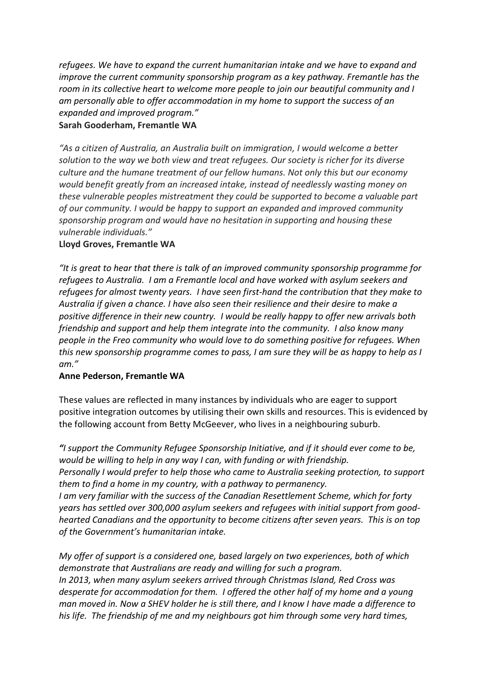*refugees. We have to expand the current humanitarian intake and we have to expand and improve the current community sponsorship program as a key pathway. Fremantle has the room in its collective heart to welcome more people to join our beautiful community and I am personally able to offer accommodation in my home to support the success of an expanded and improved program."*

## **Sarah Gooderham, Fremantle WA**

*"As a citizen of Australia, an Australia built on immigration, I would welcome a better solution to the way we both view and treat refugees. Our society is richer for its diverse culture and the humane treatment of our fellow humans. Not only this but our economy would benefit greatly from an increased intake, instead of needlessly wasting money on these vulnerable peoples mistreatment they could be supported to become a valuable part of our community. I would be happy to support an expanded and improved community sponsorship program and would have no hesitation in supporting and housing these vulnerable individuals."*

## **Lloyd Groves, Fremantle WA**

*"It is great to hear that there is talk of an improved community sponsorship programme for refugees to Australia. I am a Fremantle local and have worked with asylum seekers and refugees for almost twenty years. I have seen first-hand the contribution that they make to Australia if given a chance. I have also seen their resilience and their desire to make a positive difference in their new country. I would be really happy to offer new arrivals both friendship and support and help them integrate into the community. I also know many people in the Freo community who would love to do something positive for refugees. When this new sponsorship programme comes to pass, I am sure they will be as happy to help as I am."*

### **Anne Pederson, Fremantle WA**

These values are reflected in many instances by individuals who are eager to support positive integration outcomes by utilising their own skills and resources. This is evidenced by the following account from Betty McGeever, who lives in a neighbouring suburb.

*"I support the Community Refugee Sponsorship Initiative, and if it should ever come to be, would be willing to help in any way I can, with funding or with friendship. Personally I would prefer to help those who came to Australia seeking protection, to support them to find a home in my country, with a pathway to permanency. I am very familiar with the success of the Canadian Resettlement Scheme, which for forty years has settled over 300,000 asylum seekers and refugees with initial support from goodhearted Canadians and the opportunity to become citizens after seven years. This is on top of the Government's humanitarian intake.*

*My offer of support is a considered one, based largely on two experiences, both of which demonstrate that Australians are ready and willing for such a program. In 2013, when many asylum seekers arrived through Christmas Island, Red Cross was desperate for accommodation for them. I offered the other half of my home and a young man moved in. Now a SHEV holder he is still there, and I know I have made a difference to his life. The friendship of me and my neighbours got him through some very hard times,*